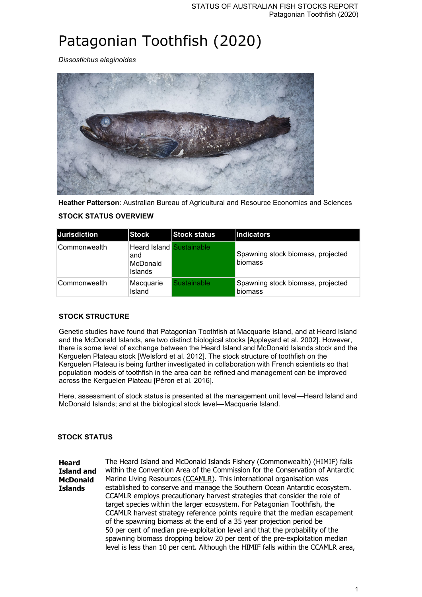# Patagonian Toothfish (2020)

*Dissostichus eleginoides*



**Heather Patterson**: Australian Bureau of Agricultural and Resource Economics and Sciences

| <b>Jurisdiction</b> | Stock                                                                | <b>Stock status</b> | <b>Indicators</b>                            |
|---------------------|----------------------------------------------------------------------|---------------------|----------------------------------------------|
| Commonwealth        | <b>Heard Island Sustainable</b><br>and<br>McDonald<br><b>Islands</b> |                     | Spawning stock biomass, projected<br>biomass |
| Commonwealth        | Macquarie<br>Island                                                  | Sustainable         | Spawning stock biomass, projected<br>biomass |

## **STOCK STATUS OVERVIEW**

## **STOCK STRUCTURE**

Genetic studies have found that Patagonian Toothfish at Macquarie Island, and at Heard Island and the McDonald Islands, are two distinct biological stocks [Appleyard et al. 2002]. However, there is some level of exchange between the Heard Island and McDonald Islands stock and the Kerguelen Plateau stock [Welsford et al. 2012]. The stock structure of toothfish on the Kerguelen Plateau is being further investigated in collaboration with French scientists so that population models of toothfish in the area can be refined and management can be improved across the Kerguelen Plateau [Péron et al. 2016].

Here, assessment of stock status is presented at the management unit level—Heard Island and McDonald Islands; and at the biological stock level—Macquarie Island.

#### **STOCK STATUS**

**Heard Island and McDonald Islands** The Heard Island and McDonald Islands Fishery (Commonwealth) (HIMIF) falls within the Convention Area of the Commission for the Conservation of Antarctic Marine Living Resources (CCAMLR). This international organisation was established to conserve and manage the Southern Ocean Antarctic ecosystem. CCAMLR employs precautionary harvest strategies that consider the role of target species within the larger ecosystem. For Patagonian Toothfish, the CCAMLR harvest strategy reference points require that the median escapement of the spawning biomass at the end of a 35 year projection period be 50 per cent of median pre-exploitation level and that the probability of the spawning biomass dropping below 20 per cent of the pre-exploitation median level is less than 10 per cent. Although the HIMIF falls within the CCAMLR area,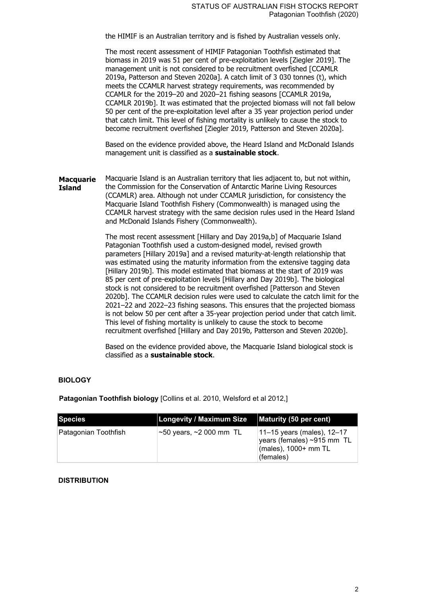the HIMIF is an Australian territory and is fished by Australian vessels only.

The most recent assessment of HIMIF Patagonian Toothfish estimated that biomass in 2019 was 51 per cent of pre-exploitation levels [Ziegler 2019]. The management unit is not considered to be recruitment overfished [CCAMLR 2019a, Patterson and Steven 2020a]. A catch limit of 3 030 tonnes (t), which meets the CCAMLR harvest strategy requirements, was recommended by CCAMLR for the 2019–20 and 2020–21 fishing seasons [CCAMLR 2019a, CCAMLR 2019b]. It was estimated that the projected biomass will not fall below 50 per cent of the pre-exploitation level after a 35 year projection period under that catch limit. This level of fishing mortality is unlikely to cause the stock to become recruitment overfished [Ziegler 2019, Patterson and Steven 2020a].

Based on the evidence provided above, the Heard Island and McDonald Islands management unit is classified as a **sustainable stock**.

**Macquarie Island** Macquarie Island is an Australian territory that lies adjacent to, but not within, the Commission for the Conservation of Antarctic Marine Living Resources (CCAMLR) area. Although not under CCAMLR jurisdiction, for consistency the Macquarie Island Toothfish Fishery (Commonwealth) is managed using the CCAMLR harvest strategy with the same decision rules used in the Heard Island and McDonald Islands Fishery (Commonwealth).

> The most recent assessment [Hillary and Day 2019a,b] of Macquarie Island Patagonian Toothfish used a custom-designed model, revised growth parameters [Hillary 2019a] and a revised maturity-at-length relationship that was estimated using the maturity information from the extensive tagging data [Hillary 2019b]. This model estimated that biomass at the start of 2019 was 85 per cent of pre-exploitation levels [Hillary and Day 2019b]. The biological stock is not considered to be recruitment overfished [Patterson and Steven 2020b]. The CCAMLR decision rules were used to calculate the catch limit for the 2021–22 and 2022–23 fishing seasons. This ensures that the projected biomass is not below 50 per cent after a 35-year projection period under that catch limit. This level of fishing mortality is unlikely to cause the stock to become recruitment overfished [Hillary and Day 2019b, Patterson and Steven 2020b].

Based on the evidence provided above, the Macquarie Island biological stock is classified as a **sustainable stock**.

#### **BIOLOGY**

**Patagonian Toothfish biology** [Collins et al. 2010, Welsford et al 2012,]

| Species              | <b>Longevity / Maximum Size</b>     | Maturity (50 per cent)                                                                                                 |
|----------------------|-------------------------------------|------------------------------------------------------------------------------------------------------------------------|
| Patagonian Toothfish | $\sim$ 50 years, $\sim$ 2 000 mm TL | $ 11 - 15$ years (males), 12-17<br>$\frac{1}{2}$ years (females) ~915 mm TL $\pm$<br>(males), 1000+ mm TL<br>(females) |

#### **DISTRIBUTION**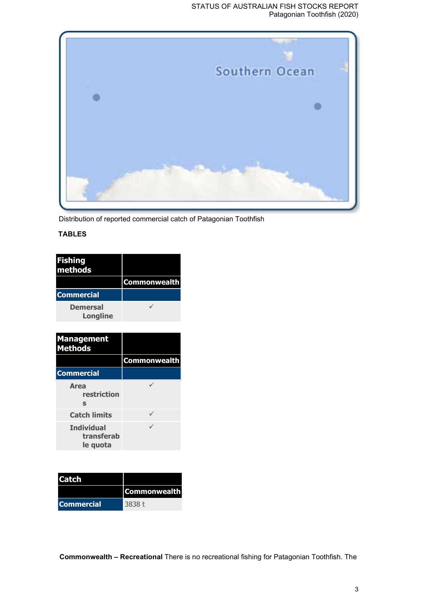#### STATUS OF AUSTRALIAN FISH STOCKS REPORT Patagonian Toothfish (2020)



Distribution of reported commercial catch of Patagonian Toothfish

## **TABLES**

| <b>Fishing</b><br>methods |                     |
|---------------------------|---------------------|
|                           | <b>Commonwealth</b> |
| <b>Commercial</b>         |                     |
| Demersal<br>Longline      |                     |
|                           |                     |
| <b>Management</b>         |                     |
| <b>Methods</b>            |                     |
|                           | <b>Commonwealth</b> |
| <b>Commercial</b>         |                     |
| Area<br>restriction<br>S  |                     |
| <b>Catch limits</b>       |                     |

| <b>Catch</b>      |                     |
|-------------------|---------------------|
|                   | <b>Commonwealth</b> |
| <b>Commercial</b> | 3838 t              |

**le quota**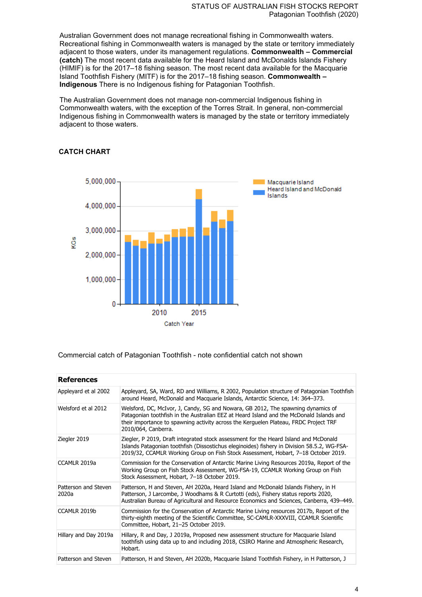Australian Government does not manage recreational fishing in Commonwealth waters. Recreational fishing in Commonwealth waters is managed by the state or territory immediately adjacent to those waters, under its management regulations. **Commonwealth – Commercial (catch)** The most recent data available for the Heard Island and McDonalds Islands Fishery (HIMIF) is for the 2017–18 fishing season. The most recent data available for the Macquarie Island Toothfish Fishery (MITF) is for the 2017–18 fishing season. **Commonwealth – Indigenous** There is no Indigenous fishing for Patagonian Toothfish.

The Australian Government does not manage non-commercial Indigenous fishing in Commonwealth waters, with the exception of the Torres Strait. In general, non-commercial Indigenous fishing in Commonwealth waters is managed by the state or territory immediately adjacent to those waters.



### **CATCH CHART**

#### Commercial catch of Patagonian Toothfish - note confidential catch not shown

| <b>References</b>             |                                                                                                                                                                                                                                                                                            |  |
|-------------------------------|--------------------------------------------------------------------------------------------------------------------------------------------------------------------------------------------------------------------------------------------------------------------------------------------|--|
| Appleyard et al 2002          | Appleyard, SA, Ward, RD and Williams, R 2002, Population structure of Patagonian Toothfish<br>around Heard, McDonald and Macquarie Islands, Antarctic Science, 14: 364–373.                                                                                                                |  |
| Welsford et al 2012           | Welsford, DC, McIvor, J, Candy, SG and Nowara, GB 2012, The spawning dynamics of<br>Patagonian toothfish in the Australian EEZ at Heard Island and the McDonald Islands and<br>their importance to spawning activity across the Kerguelen Plateau, FRDC Project TRF<br>2010/064, Canberra. |  |
| Ziegler 2019                  | Ziegler, P 2019, Draft integrated stock assessment for the Heard Island and McDonald<br>Islands Patagonian toothfish (Dissostichus eleginoides) fishery in Division 58.5.2, WG-FSA-<br>2019/32, CCAMLR Working Group on Fish Stock Assessment, Hobart, 7-18 October 2019.                  |  |
| CCAMLR 2019a                  | Commission for the Conservation of Antarctic Marine Living Resources 2019a, Report of the<br>Working Group on Fish Stock Assessment, WG-FSA-19, CCAMLR Working Group on Fish<br>Stock Assessment, Hobart, 7-18 October 2019.                                                               |  |
| Patterson and Steven<br>2020a | Patterson, H and Steven, AH 2020a, Heard Island and McDonald Islands Fishery, in H<br>Patterson, J Larcombe, J Woodhams & R Curtotti (eds), Fishery status reports 2020,<br>Australian Bureau of Agricultural and Resource Economics and Sciences, Canberra, 439–449.                      |  |
| CCAMLR 2019b                  | Commission for the Conservation of Antarctic Marine Living resources 2017b, Report of the<br>thirty-eighth meeting of the Scientific Committee, SC-CAMLR-XXXVIII, CCAMLR Scientific<br>Committee, Hobart, 21-25 October 2019.                                                              |  |
| Hillary and Day 2019a         | Hillary, R and Day, J 2019a, Proposed new assessment structure for Macquarie Island<br>toothfish using data up to and including 2018, CSIRO Marine and Atmospheric Research,<br>Hobart.                                                                                                    |  |
| Patterson and Steven          | Patterson, H and Steven, AH 2020b, Macquarie Island Toothfish Fishery, in H Patterson, J                                                                                                                                                                                                   |  |